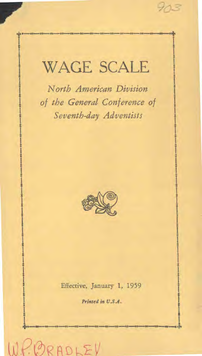# WAGE SCALE

*North American Division 1 of the General Conference of Seventh-day Adventists* 

*1 1* 

> *1 1*



Effective, January 1, 1959

Printed in U.S.A.

4.

 $RADLE$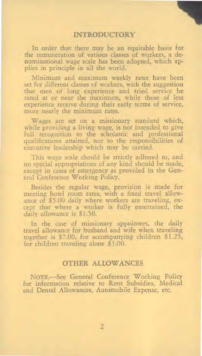### **INTRODUCTORY**

In order that there may be an equitable basis for the remuneration of various classes of workers, a denominational wage scale has been adopted, which applies in principle in all the world.

Minimum and maximum weekly rates have been set for different classes of workers, with the suggestion that men of long experience and tried service be rated at or near the maximum, while those of less experience receive during their early terms of service, more nearly the minimum rates.

Wages are set on a missionary standard which, while providing a living wage, is not intended to give full recognition to the scholastic and professional qualifications attained, nor to the responsibilities of executive leadership which may be carried.

This wage scale should be strictly adhered to, and no special appropriations of any kind should be made, except in cases of emergency as provided in the General Conference Working Policy.

Besides the regular wage, provision is made for meeting hotel room rates, with a fixed travel allowance of \$5.00 daily where workers are traveling, except that where a worker is fully entertained, the daily allowance is \$1.50.

In the case of missionary appointees, the daily travel allowance for husband and wife when traveling together is \$7.00, for accompanying children \$1.25, for children traveling alone \$3.00.

# OTHER ALLOWANCES

NOTE.—See General Conference Working Policy for information relative to Rent Subsidies, Medical and Dental Allowances, Automobile Expense, etc.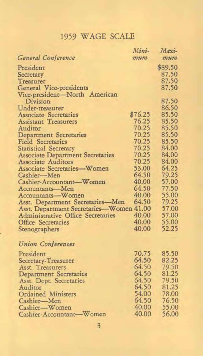# 1959 WAGE SCALE

|                                          | Mini-   | Maxi-      |
|------------------------------------------|---------|------------|
| General Conference                       | mum     | 972.24.772 |
| President                                |         | \$89.50    |
| Secretary                                |         | 87.50      |
| Treasurer                                |         | 87.50      |
| General Vice-presidents                  |         | 87.50      |
| Vice-president-North American            |         |            |
| Division                                 |         | 87.50      |
| Under-treasurer                          |         | 86.50      |
| <b>Associate Secretaries</b>             | \$76.25 | 85.50      |
| <b>Assistant Treasurers</b>              | 76.25   | 85.50      |
| Auditor                                  | 70.25   | 85.50      |
| <b>Department Secretaries</b>            | 70.25   | 85.50      |
| <b>Field Secretaries</b>                 | 70.25   | 85.50      |
| <b>Statistical Secretary</b>             | 70.25   | 84.00      |
| <b>Associate Department Secretaries</b>  | 70.25   | 84.00      |
| <b>Associate Auditors</b>                | 70.25   | 84.00      |
| <b>Associate Secretaries-Women</b>       | 53.00   | 64.25      |
| Cashier-Men                              | 64.50   | 79.25      |
| Cashier-Accountant-Women                 | 40.00   | 57.00      |
| Accountants-Men                          | 64.50   | 77.50      |
| Accountants-Women                        | 40.00   | 55.00      |
| Asst. Department Secretaries-Men         | 64.50   | 79.25      |
| Asst. Department Secretaries-Women 41.00 |         | 57.00      |
| <b>Administrative Office Secretaries</b> | 40.00   | 57.00      |
| <b>Office Secretaries</b>                | 40.00   | 55.00      |
| Stenographers                            | 40.00   | 52.25      |
| <b>Union Conferences</b>                 |         |            |
| President                                | 70.75   | 85.50      |
| Secretary-Treasurer                      | 64.50   | 82.25      |
| Asst. Treasurers                         | 64.50   | 79.50      |
| Department Secretaries                   | 64.50   | 81.25      |
| Asst. Dept. Secretaries                  | 64.50   | 79.50      |
| Auditor                                  | 64.50   | 81.25      |
| <b>Ordained Ministers</b>                | 54.00   | 78.00      |
| Cashier-Men                              | 64.50   | 76.50      |
| Cashier-Women                            | 40.00   | 55.00      |
| Cashier-Accountant-Women                 | 40.00   | 56.00      |
|                                          |         |            |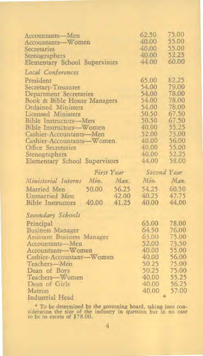| Accountants-Men                            | 62.50 | 75.00          |
|--------------------------------------------|-------|----------------|
| Accountants-Women                          | 40.00 | 55.00          |
| Secretaries                                | 40.00 | 55.00          |
| Stenographers                              | 40.00 | 52.25          |
| <b>Elementary School Supervisors</b>       | 44.00 | 60.00          |
|                                            |       |                |
| Local Conferences                          |       |                |
| President                                  | 65.00 | 82.25          |
| Secretary-Treasurer                        | 54.00 | 79.00          |
| Department Secretaries                     | 54.00 | 78.00          |
| Book & Bible House Managers                | 54.00 | 78.00          |
| Ordained Ministers                         | 54.00 | 78.00          |
| Licensed Ministers                         | 50.50 | 67.50<br>67.50 |
| Bible Instructors-Men                      | 50.50 |                |
| Bible Instructors-Women                    | 40.00 | 55.25          |
| Cashier-Accountants-Men                    | 52.00 | 73.00          |
| Cashier-Accountants-Women                  | 40.00 | 56.00          |
| Office Secretaries                         | 40.00 | 55.00          |
| Stenographers                              | 40.00 | 52.25          |
| <b>Elementary School Supervisors</b>       | 44.00 | 58.00          |
|                                            |       |                |
| First Year                                 |       | Second Year    |
| Ministerial Interns<br>Min<br>Max.         | Min.  | Max.           |
|                                            |       |                |
| 56.25<br>50.00<br>Married Men              | 54.25 | 60.50          |
| 42.00<br>Unmarried Men                     | 40.25 | 47.75          |
| 40.00<br>41.25<br><b>Bible Instructors</b> | 40.00 | 44.00          |
| Secondary Schools                          |       |                |
| Principal                                  | 65.00 | 78.00          |
| <b>Business Manager</b>                    | 64.50 | 76.00          |
| Assistant Business Manager                 | 63.00 | 75.00          |
| Accountants-Men                            | 52.00 | 73.50          |
| Accountants-Women                          | 40.00 | 55.00          |
| Cashier-Accountant-Women                   | 40.00 | 56.00          |
| Teachers-Men                               | 50.25 | 75.00          |
| Dean of Boys                               | 50.25 | 75.00          |
| Teachers-Women                             | 40.00 | 55.25          |
| Dean of Girls                              | 40.00 | 56.25          |
| Matron<br>Industrial Head                  | 40.00 | 57.00          |

• To be determined by the governing board, taking into con-sideration the size of the industry in question but in no case to be in excess of \$78.00.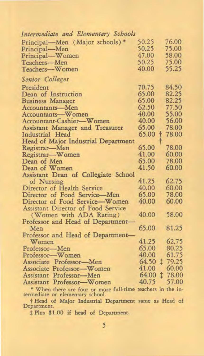| Intermediate and Elementary Schools                        |       |            |
|------------------------------------------------------------|-------|------------|
| Principal-Men (Major schools)                              | 50.25 | 76.00      |
| Principal-Men                                              | 50.25 | 75.00      |
| Principal-Women                                            | 47.00 | 58.00      |
| Teachers-Men                                               | 50.25 | 75.00      |
| Teachers-Women                                             | 40.00 | 55.25      |
| Senior Colleges                                            |       |            |
| President                                                  | 70.75 | 84.50      |
| Dean of Instruction                                        | 65.00 | 82.25      |
| <b>Business Manager</b>                                    | 65.00 | 82.25      |
| Accountants-Men                                            | 62.50 | 77.50      |
| Accountants-Women                                          | 40.00 | 55.00      |
| Accountant-Cashier-Women                                   | 40.00 | 56.00      |
| Assistant Manager and Treasurer                            | 65.00 | 78.00      |
| Industrial Head                                            | 65.00 | 78.00<br>۲ |
| Head of Major Industrial Department                        |       |            |
| Registrar-Men                                              | 65.00 | 78.00      |
| Registrar-Women                                            | 41.00 | 60.00      |
| Dean of Men                                                | 65.00 | 78.00      |
| Dean of Women                                              | 41.50 | 60.00      |
| Assistant Dean of Collegiate School                        |       |            |
| of Nursing                                                 | 41.25 | 62.75      |
| Director of Health Service                                 | 40.00 | 60.00      |
| Director of Food Service-Men                               | 65.00 | 78.00      |
| Director of Food Service-Women                             | 40.00 | 60.00      |
| Assistant Director of Food Service                         |       |            |
| (Women with ADA Rating)                                    | 40.00 | 58.00      |
| Professor and Head of Department-                          |       |            |
| Men                                                        | 65.00 | 81.25      |
| Professor and Head of Department-                          |       |            |
| Women                                                      | 41.25 | 62.75      |
| Professor-Men                                              | 65.00 | 80.25      |
| Professor-Women                                            | 40.00 | 61.75      |
| Associate Professor-Men                                    | 64.50 | t<br>79.25 |
| Associate Professor-Women                                  | 41.00 | 60.00      |
| Assistant Professor-Men                                    | 64.00 | t<br>78.00 |
| Assistant Professor-Women                                  | 40.75 | 57.00      |
| * When there are four or more full time technic in the in- |       |            |

• When there are four or more full-time teachers in the in-termediate or elementary school.

f Head of Major Industrial Department same as Head of Department.

\$ Plus \$1.00 if head of Department.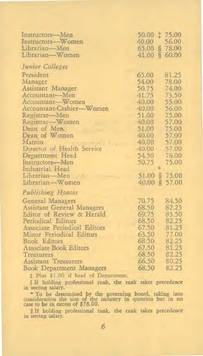| Instructors-Men                 | 50.00 ± 75.00                 |          |
|---------------------------------|-------------------------------|----------|
| Instructors-Women               | 40.00                         | 56.00    |
| Librarian-Men                   | 65.00 § 78.00                 |          |
| Librarian-Women                 | $\tilde{\mathbf{S}}$<br>41.00 | 60.00    |
| Junior Colleges                 |                               |          |
| President                       | 65.00                         | 81.25    |
| Manager                         | 54.00                         | 78.00    |
| Assistant Manager               | 50.75                         | 74.00    |
| Accountant-Men                  | 41.75                         | 73.50    |
| Accountant-Women                | 40.00                         | 55.00    |
| Accountant-Cashier-Women        | 40.00                         | 56.00    |
| Registrar-Men                   | 51.00                         | 75.00    |
| Registrar-Women                 | 40.00                         | 57.00    |
| Dean of Men.                    | 51.00                         | 75.00    |
| Dean of Women                   | 40.00                         | 57.00    |
| Matron                          | 40.00                         | 57.00    |
| Director of Health Service      | 40.00                         | 57.00    |
| Department Head                 | 54.50                         | 78.00    |
| Instructors-Men                 | 50.75                         | 75.00    |
| Industrial Head                 |                               |          |
| Librarian-Men                   | 51.00S                        | 75.00    |
| Librarian-Women                 | 40.00                         | \$ 57.00 |
| Publishing Houses               |                               |          |
| General Managers                | 70.75                         | 84.50    |
| Assistant General Managers      | 68.50                         | 82.25    |
| Editor of Review & Herald       | 69.75                         | 83.50    |
| Periodical Editors              | 68.50                         | 82.25    |
| Associate Periodical Editors    | 67.50                         | 81.25    |
| Minor Periodical Editors        | 63.50                         | 77.00    |
| <b>Book Editors</b>             | 68.50                         | 82.25    |
| Associate Book Editors          | 67.50                         | 81.25    |
| Treasurers                      | 68.50                         | 82.25    |
| <b>Assistant Treasurers</b>     | 66.50                         | 80.25    |
| <b>Book Department Managers</b> | 68.50                         | 82.25    |

\$ Plus \$1.00 if head of Department.

§ If holding professional rank, the rank takes precedence in setting salary.

• To be determined by the governing board, taking into consideration the size of the industry in question but in no case to be in excess of \$78.00.

§ If holding professional rank, the rank takes precedence in setting salary.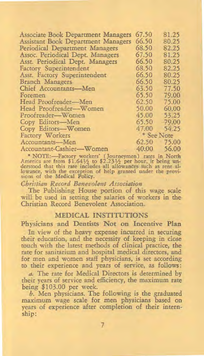| <b>Associate Book Department Managers</b> | 67.50 | 81.25                 |
|-------------------------------------------|-------|-----------------------|
| Assistant Book Department Managers        | 66.50 | 80.25                 |
| Periodical Department Managers            | 68.50 | 82.25                 |
| Assoc. Periodical Dept. Managers          | 67.50 | 81.25                 |
| Asst. Periodical Dept. Managers           | 66.50 | 80.25                 |
| Factory Superintendent                    | 68.50 | 82.25                 |
| Asst. Factory Superintendent              | 66.50 | 80.25                 |
| Branch Managers                           | 66.50 | 80.25                 |
| Chief Accountants-Men                     | 63.50 | 77.50                 |
| Foremen                                   | 65.50 | 79.00                 |
| Head Proofreader-Men                      | 62.50 | 75.00                 |
| Head Proofreader-Women                    | 50.00 | 60.00                 |
| Proofreader-Women                         | 45.00 | 53.25                 |
| Copy Editors-Men                          | 65.50 | 79.00                 |
| Copy Editors-Women                        | 47.00 | 54.25                 |
| Factory Workers                           |       | <sup>*</sup> See Note |
| Accountants-Men                           | 62.50 | 75.00                 |
| Accountant-Cashier-Women                  | 40.00 | 56.00                 |

NOTE:—Factory workers' (Journeymen) rates in North<br>America are from \$1.64½ to \$2.23½ per hour, it being un-<br>derstood that this rate includes all allowances such as rent al-<br>lowance, with the exception of help granted unde sions of the Medical Policy.

#### *Christian Record Benevolent Association*

The Publishing House portion of this wage scale will be used in setting the salaries of workers in the Christian Record Benevolent Association.

#### **MEDICAL INSTITUTIONS**

**Physicians and Dentists Not on Incentive Plan** 

In view of the heavy expense incurred in securing their education, and the necessity of keeping in close touch with the latest methods of clinical practice, the rate for sanitarium and hospital medical directors, and for men and women staff physicians, is set according to their experience and years of service, as follows:

a. The rate for Medical Directors is determined by their years of service and efficiency, the maximum rate being \$103.00 per week.

b. Men physicians. The following is the graduated maximum wage scale for men physicians based on years of experience after completion of their internship: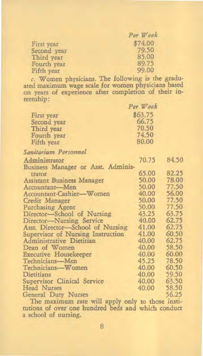|             | Per Week |
|-------------|----------|
| First year  | \$74.00  |
| Second year | 79.50    |
| Third year  | 85.00    |
| Fourth year | 89.75    |
| Fifth year  | 99.00    |

*c.* Women physicians. The following is the gradu-ated maximum *wage* scale for women physicians based on years of experience after completion of their internship:

|             | Per Week |
|-------------|----------|
| First year  | \$63.75  |
| Second year | 66.75    |
| Third year  | 70.50    |
| Fourth year | 74.50    |
| Fifth year  | 80.00    |

# *Sanitarium Personnel*

| Administrator                                      | 70.75                             | 84.50 |
|----------------------------------------------------|-----------------------------------|-------|
| Business Manager or Asst. Adminis-                 |                                   |       |
| trator                                             | 65.00                             | 82.25 |
| Assistant Business Manager                         | 50.00                             | 78.00 |
| Accountant-Men                                     | 50.00                             | 77.50 |
| Accountant-Cashier-Women                           | 40.00                             | 56.00 |
| Credit Manager                                     | 50.00                             | 77.50 |
| <b>Purchasing Agent</b>                            | 50.00                             | 77.50 |
| Director-School of Nursing                         | 43.25                             | 63.75 |
| Director-Nursing Service                           | 40.00                             | 62.75 |
| Asst. Director-School of Nursing                   | 41.00                             | 62.75 |
| Supervisor of Nursing Instruction                  | 41.00                             | 60.50 |
| Administrative Dietitian                           | 40.00                             | 62.75 |
| Dean of Women                                      | 40.00                             | 58.50 |
| <b>Executive Housekeeper</b>                       | 40.00                             | 60.00 |
| Technicians-Men                                    | 45.25                             | 78.50 |
| Technicians-Women                                  | 40.00                             | 60.50 |
| Dietitians                                         | 40.00                             | 59.50 |
| Supervisor Clinical Service                        | 40.00                             | 63.50 |
| Head Nurses                                        | 40.00                             | 58.50 |
| General Duty Nurses                                |                                   | 56.25 |
| $111$ and $11$ and $11$ and $11$ and $11$ and $11$ | <b>Contract Contract Contract</b> |       |

The maximum rate will apply only to those institutions of over one hundred beds and which conduct a school of nursing.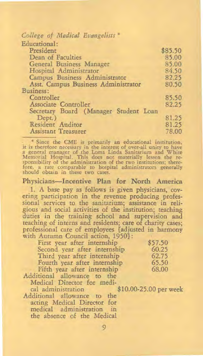| College of Medical Evangelists *      |         |
|---------------------------------------|---------|
| Educational:                          |         |
| President                             | \$85.50 |
| Dean of Faculties                     | 85.00   |
| General Business Manager              | 85.00   |
| Hospital Administrator                | 84.50   |
| Campus Business Administrator         | 82.25   |
| Asst. Campus Business Administrator   | 80.50   |
| Business:                             |         |
| Controller                            | 85.50   |
| Associate Controller                  | 82.25   |
| Secretary Board (Manager Student Loan |         |
| Dept.)                                | 81.25   |
| Resident Auditor                      | 81.25   |
| Assistant Treasurer                   | 78.00   |

" Since the CME is primarily an educational institution, it is therefore necessary in the interest of over-all unity to have<br>a general manager of the Loma Linda Sanitarium and White<br>Memorial Hospital. This does not materially lessen the re-<br>sponsibility of the administration of fore, a rate comparable to hospital administrators generally should obtain in these two cases.

Physicians—Incentive Plan for North America

1. A base pay as follows is given physicians, covering participation in the revenue producing professional services to the sanitarium; assistance in religious and social activities of the institution; teaching duties in the training school and supervision and teaching of interns and residents; care of charity cases; professional care of employees {adjusted in harmony with Autumn Council action, 1950}:

| First year after internship  | \$57.50 |
|------------------------------|---------|
| Second year after internship | 60.25   |
| Third year after internship  | 62.75   |
| Fourth year after internship | 65.50   |
| Fifth year after internship  | 68.00   |
| Additional allowance to the  |         |

Medical Director for medi-<br>cal administration

Additional allowance to the acting Medical Director for medical administration in the absence of the Medical

\$10.00-25.00 per week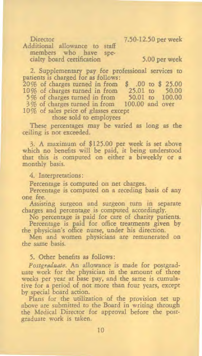Director 7.50-12.50 per week

Additional allowance to staff<br>members who have spemembers who have cialty board certification 5.00 per week

2. Supplementary pay for professional services to patients is charged for as follows: 20% of charges turned in from \$ .00 to \$ 25.00 10% of charges turned in from 25.01 to 50.00 5% of charges turned in from 50.01 to 100.00<br>3% of charges turned in from 100.00 and over 3% of charges turned in from 10% of sales price of glasses except

those sold to employees

These percentages may be varied as long as the ceiling is not exceeded.

3. A maximum of \$125.00 per week is set above which no benefits will be paid, it being understood that this is computed on either a biweekly or a monthly basis.

4. Interpretations:

Percentage is computed on net charges.

Percentage is computed on a receding basis of any one fee.

Assisting surgeon and surgeon turn in separate charges and percentage is computed accordingly.

No percentage is paid for care of charity patients.

Percentage is paid for office treatments given by the physician's office nurse, under his direction.

Men and women physicians are remunerated on the same basis.

5. Other benefits as follows:

*Postgraduate.* An allowance is made for postgraduate work for the physician in the amount of three weeks per year at base pay, and the same is cumulative for a period of not more than four years, except by special board action.

Plans for the utilization of the provision set up above are submitted to the Board in writing through the Medical Director for approval before the postgraduate work is taken.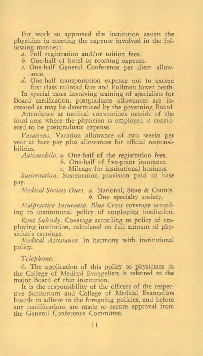For work so approved the institution assists the physician in meeting the expense involved in the following manner:

- a. Full registration and/or tuition fees.
- b. One-half of hotel or rooming expense.
- c. One-half General Conference per diem allowance.
- d. One-half transportation expense not to exceed first class railroad fare and Pullman lower berth.

In special cases involving training of specialists for Board certification, postgraduate allowances are increased as may be determined by the governing Board.

Attendance at medical conventions outside of the local area where the physician is employed is considered to be postgraduate expense.

*Vacations.* Vacation allowance of two weeks per year at base pay plus allowances for official responsibilities.

*Automobile.* a. One-half of the registration fees.

b. One-half of five-point insurance.

c. Mileage for institutional business.

*Sustentation.* Sustentation provision paid on base pay.

*Medical Society Dues.* a. National, State & County. *b.* One specialty society.

*Malpractice Insurance. Blue Cross* coverage according to institutional policy of employing institution.

*Rent Subsidy.* Coverage according to policy of employing institution, calculated on full amount of physician's earnings.

*Medical Assistance.* In harmony with institutional policy.

#### *Telephone.*

6. The application of this policy to physicians in the College of Medical Evangelists is referred to the major Board of that institution.

It is the responsibility of the officers of the respective Sanitarium and College of Medical Evangelists boards to adhere to the foregoing policies, and before any modifications are made to secure approval from the General Conference Committee.